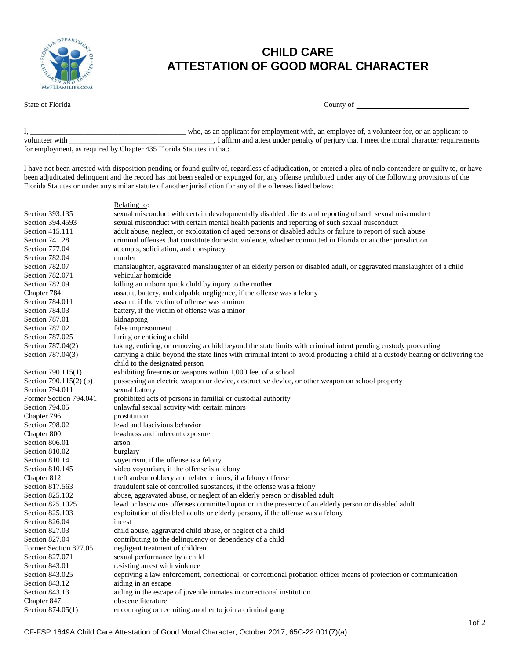

## **CHILD CARE ATTESTATION OF GOOD MORAL CHARACTER**

| State of 1<br>Florida<br>County of |
|------------------------------------|
|------------------------------------|

I, \_\_\_\_\_\_\_\_\_\_\_\_\_\_\_\_\_\_\_\_\_\_\_\_\_\_\_\_\_\_\_\_\_\_\_\_\_\_\_\_\_ who, as an applicant for employment with, an employee of, a volunteer for, or an applicant to volunteer with \_\_\_\_\_\_\_\_\_\_\_\_\_\_\_\_\_\_\_\_\_\_\_\_\_\_\_\_\_\_\_\_\_\_\_\_\_\_, I affirm and attest under penalty of perjury that I meet the moral character requirements for employment, as required by Chapter 435 Florida Statutes in that:

I have not been arrested with disposition pending or found guilty of, regardless of adjudication, or entered a plea of nolo contendere or guilty to, or have been adjudicated delinquent and the record has not been sealed or expunged for, any offense prohibited under any of the following provisions of the Florida Statutes or under any similar statute of another jurisdiction for any of the offenses listed below:

## Relating to:

| Section 393.135        | sexual misconduct with certain developmentally disabled clients and reporting of such sexual misconduct                        |  |  |
|------------------------|--------------------------------------------------------------------------------------------------------------------------------|--|--|
| Section 394.4593       | sexual misconduct with certain mental health patients and reporting of such sexual misconduct                                  |  |  |
| Section 415.111        | adult abuse, neglect, or exploitation of aged persons or disabled adults or failure to report of such abuse                    |  |  |
| Section 741.28         | criminal offenses that constitute domestic violence, whether committed in Florida or another jurisdiction                      |  |  |
| Section 777.04         | attempts, solicitation, and conspiracy                                                                                         |  |  |
| Section 782.04         | murder                                                                                                                         |  |  |
| Section 782.07         | manslaughter, aggravated manslaughter of an elderly person or disabled adult, or aggravated manslaughter of a child            |  |  |
| Section 782.071        | vehicular homicide                                                                                                             |  |  |
| Section 782.09         | killing an unborn quick child by injury to the mother                                                                          |  |  |
| Chapter 784            | assault, battery, and culpable negligence, if the offense was a felony                                                         |  |  |
| Section 784.011        | assault, if the victim of offense was a minor                                                                                  |  |  |
| Section 784.03         | battery, if the victim of offense was a minor                                                                                  |  |  |
| Section 787.01         | kidnapping                                                                                                                     |  |  |
| Section 787.02         | false imprisonment                                                                                                             |  |  |
| Section 787.025        | luring or enticing a child                                                                                                     |  |  |
| Section 787.04(2)      | taking, enticing, or removing a child beyond the state limits with criminal intent pending custody proceeding                  |  |  |
| Section 787.04(3)      | carrying a child beyond the state lines with criminal intent to avoid producing a child at a custody hearing or delivering the |  |  |
|                        | child to the designated person                                                                                                 |  |  |
| Section 790.115(1)     | exhibiting firearms or weapons within 1,000 feet of a school                                                                   |  |  |
| Section 790.115(2) (b) | possessing an electric weapon or device, destructive device, or other weapon on school property                                |  |  |
| Section 794.011        | sexual battery                                                                                                                 |  |  |
| Former Section 794.041 | prohibited acts of persons in familial or custodial authority                                                                  |  |  |
| Section 794.05         | unlawful sexual activity with certain minors                                                                                   |  |  |
| Chapter 796            | prostitution                                                                                                                   |  |  |
| Section 798.02         | lewd and lascivious behavior                                                                                                   |  |  |
| Chapter 800            | lewdness and indecent exposure                                                                                                 |  |  |
| Section 806.01         | arson                                                                                                                          |  |  |
| Section 810.02         | burglary                                                                                                                       |  |  |
| Section 810.14         | voyeurism, if the offense is a felony                                                                                          |  |  |
| Section 810.145        | video voyeurism, if the offense is a felony                                                                                    |  |  |
| Chapter 812            | theft and/or robbery and related crimes, if a felony offense                                                                   |  |  |
| Section 817.563        | fraudulent sale of controlled substances, if the offense was a felony                                                          |  |  |
| Section 825.102        | abuse, aggravated abuse, or neglect of an elderly person or disabled adult                                                     |  |  |
| Section 825.1025       | lewd or lascivious offenses committed upon or in the presence of an elderly person or disabled adult                           |  |  |
| Section 825.103        | exploitation of disabled adults or elderly persons, if the offense was a felony                                                |  |  |
| Section 826.04         | incest                                                                                                                         |  |  |
| Section 827.03         | child abuse, aggravated child abuse, or neglect of a child                                                                     |  |  |
| Section 827.04         | contributing to the delinquency or dependency of a child                                                                       |  |  |
| Former Section 827.05  | negligent treatment of children                                                                                                |  |  |
| Section 827.071        | sexual performance by a child                                                                                                  |  |  |
| Section 843.01         | resisting arrest with violence                                                                                                 |  |  |
| Section 843.025        | depriving a law enforcement, correctional, or correctional probation officer means of protection or communication              |  |  |
| Section 843.12         | aiding in an escape                                                                                                            |  |  |
| Section 843.13         | aiding in the escape of juvenile inmates in correctional institution                                                           |  |  |
| Chapter 847            | obscene literature                                                                                                             |  |  |
| Section 874.05(1)      | encouraging or recruiting another to join a criminal gang                                                                      |  |  |
|                        |                                                                                                                                |  |  |